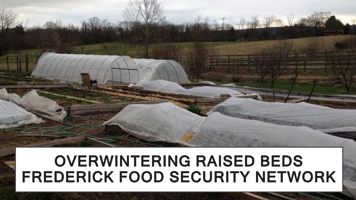### **OVERWINTERING RAISED BEDS** FREDERICK FOOD SECURITY NETWORK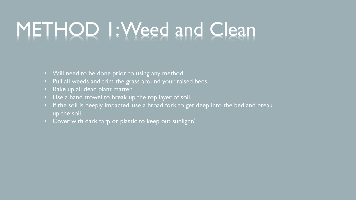# METHOD 1: Weed and Clean

- Will need to be done prior to using any method.
- Pull all weeds and trim the grass around your raised beds.
- Rake up all dead plant matter.
- Use a hand trowel to break up the top layer of soil.
- If the soil is deeply impacted, use a broad fork to get deep into the bed and break up the soil.
- Cover with dark tarp or plastic to keep out sunlight/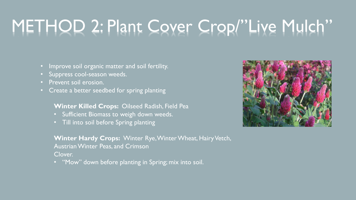### METHOD 2: Plant Cover Crop/"Live Mulch"

- Improve soil organic matter and soil fertility.
- Suppress cool-season weeds.
- Prevent soil erosion.
- Create a better seedbed for spring planting

#### **Winter Killed Crops:** Oilseed Radish, Field Pea

- Sufficient Biomass to weigh down weeds.
- Till into soil before Spring planting

**Winter Hardy Crops:** Winter Rye, Winter Wheat, Hairy Vetch, Austrian Winter Peas, and Crimson Clover.

• "Mow" down before planting in Spring; mix into soil.

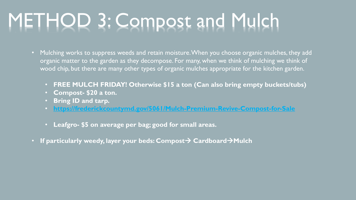### METHOD 3: Compost and Mulch

- Mulching works to suppress weeds and retain moisture. When you choose organic mulches, they add organic matter to the garden as they decompose. For many, when we think of mulching we think of wood chip, but there are many other types of organic mulches appropriate for the kitchen garden.
	- **FREE MULCH FRIDAY! Otherwise \$15 a ton (Can also bring empty buckets/tubs)**
	- **Compost- \$20 a ton.**
	- **Bring ID and tarp.**
	- **<https://frederickcountymd.gov/5061/Mulch-Premium-Revive-Compost-for-Sale>**
	- **Leafgro- \$5 on average per bag; good for small areas.**
- If particularly weedy, layer your beds: Compost > Cardboard > Mulch